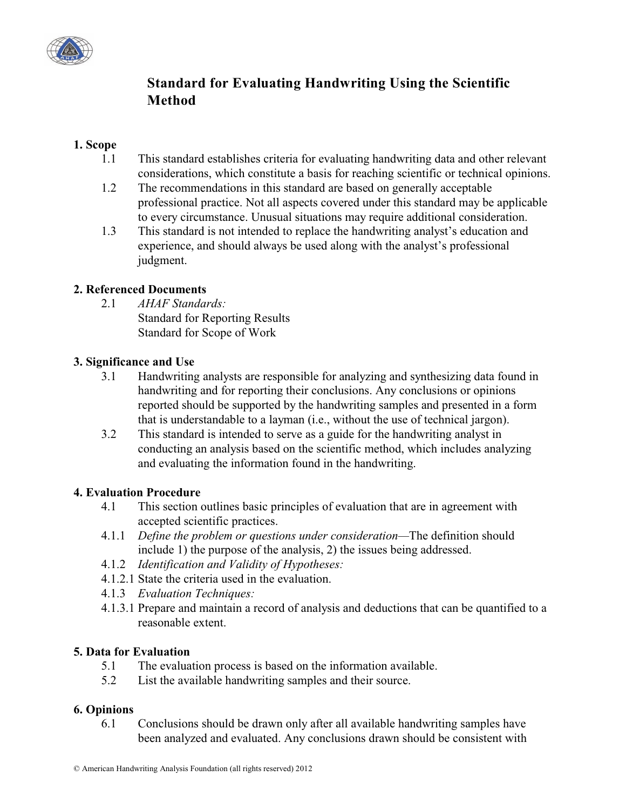

# **Standard for Evaluating Handwriting Using the Scientific Method**

# **1. Scope**

- 1.1 This standard establishes criteria for evaluating handwriting data and other relevant considerations, which constitute a basis for reaching scientific or technical opinions.
- 1.2 The recommendations in this standard are based on generally acceptable professional practice. Not all aspects covered under this standard may be applicable to every circumstance. Unusual situations may require additional consideration.
- 1.3 This standard is not intended to replace the handwriting analyst's education and experience, and should always be used along with the analyst's professional judgment.

## **2. Referenced Documents**

2.1 *AHAF Standards:*

Standard for Reporting Results Standard for Scope of Work

## **3. Significance and Use**

- 3.1 Handwriting analysts are responsible for analyzing and synthesizing data found in handwriting and for reporting their conclusions. Any conclusions or opinions reported should be supported by the handwriting samples and presented in a form that is understandable to a layman (i.e., without the use of technical jargon).
- 3.2 This standard is intended to serve as a guide for the handwriting analyst in conducting an analysis based on the scientific method, which includes analyzing and evaluating the information found in the handwriting.

#### **4. Evaluation Procedure**

- 4.1 This section outlines basic principles of evaluation that are in agreement with accepted scientific practices.
- 4.1.1 *Define the problem or questions under consideration—*The definition should include 1) the purpose of the analysis, 2) the issues being addressed.
- 4.1.2 *Identification and Validity of Hypotheses:*
- 4.1.2.1 State the criteria used in the evaluation.
- 4.1.3 *Evaluation Techniques:*
- 4.1.3.1 Prepare and maintain a record of analysis and deductions that can be quantified to a reasonable extent.

#### **5. Data for Evaluation**

- 5.1 The evaluation process is based on the information available.
- 5.2 List the available handwriting samples and their source.

# **6. Opinions**

6.1 Conclusions should be drawn only after all available handwriting samples have been analyzed and evaluated. Any conclusions drawn should be consistent with